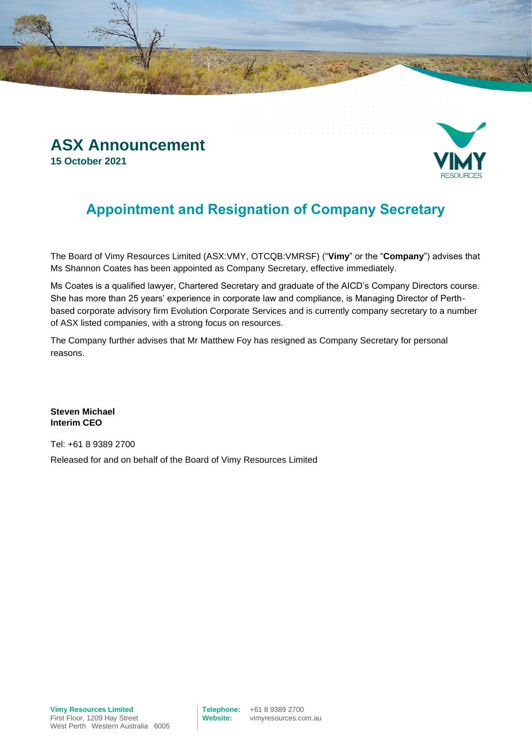



## **Appointment and Resignation of Company Secretary**

The Board of Vimy Resources Limited (ASX:VMY, OTCQB:VMRSF) ("**Vimy**" or the "**Company**") advises that Ms Shannon Coates has been appointed as Company Secretary, effective immediately.

Ms Coates is a qualified lawyer, Chartered Secretary and graduate of the AICD's Company Directors course. She has more than 25 years' experience in corporate law and compliance, is Managing Director of Perthbased corporate advisory firm Evolution Corporate Services and is currently company secretary to a number of ASX listed companies, with a strong focus on resources.

The Company further advises that Mr Matthew Foy has resigned as Company Secretary for personal reasons.

**Steven Michael Interim CEO**

Tel: +61 8 9389 2700 Released for and on behalf of the Board of Vimy Resources Limited